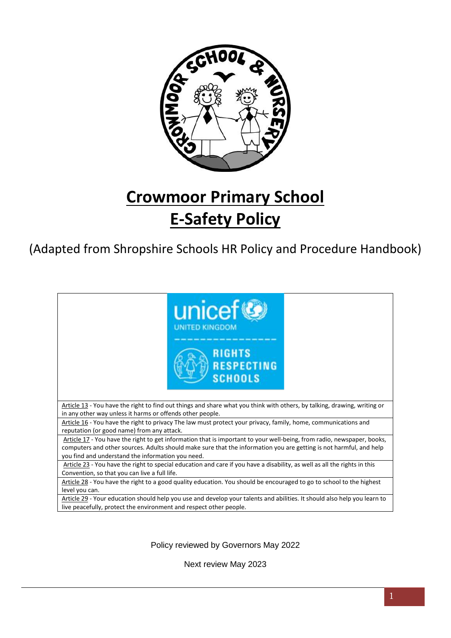

# **Crowmoor Primary School E-Safety Policy**

(Adapted from Shropshire Schools HR Policy and Procedure Handbook)



Policy reviewed by Governors May 2022

Next review May 2023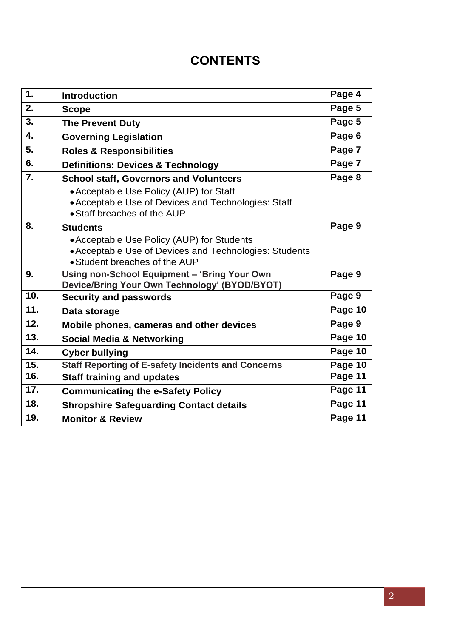# **CONTENTS**

| $\mathbf 1$ . | <b>Introduction</b>                                                                                                                                                            | Page 4  |
|---------------|--------------------------------------------------------------------------------------------------------------------------------------------------------------------------------|---------|
| 2.            | <b>Scope</b>                                                                                                                                                                   | Page 5  |
| 3.            | <b>The Prevent Duty</b>                                                                                                                                                        | Page 5  |
| 4.            | <b>Governing Legislation</b>                                                                                                                                                   | Page 6  |
| 5.            | <b>Roles &amp; Responsibilities</b>                                                                                                                                            | Page 7  |
| 6.            | <b>Definitions: Devices &amp; Technology</b>                                                                                                                                   | Page 7  |
| 7.            | <b>School staff, Governors and Volunteers</b><br>• Acceptable Use Policy (AUP) for Staff<br>• Acceptable Use of Devices and Technologies: Staff<br>• Staff breaches of the AUP | Page 8  |
| 8.            | <b>Students</b>                                                                                                                                                                | Page 9  |
|               | • Acceptable Use Policy (AUP) for Students<br>• Acceptable Use of Devices and Technologies: Students<br>• Student breaches of the AUP                                          |         |
| 9.            | Using non-School Equipment - 'Bring Your Own<br>Device/Bring Your Own Technology' (BYOD/BYOT)                                                                                  | Page 9  |
| 10.           | <b>Security and passwords</b>                                                                                                                                                  | Page 9  |
| 11.           | Data storage                                                                                                                                                                   | Page 10 |
| 12.           | Mobile phones, cameras and other devices                                                                                                                                       | Page 9  |
| 13.           | <b>Social Media &amp; Networking</b>                                                                                                                                           | Page 10 |
| 14.           | <b>Cyber bullying</b>                                                                                                                                                          | Page 10 |
| 15.           | <b>Staff Reporting of E-safety Incidents and Concerns</b>                                                                                                                      | Page 10 |
| 16.           | <b>Staff training and updates</b>                                                                                                                                              | Page 11 |
| 17.           | <b>Communicating the e-Safety Policy</b>                                                                                                                                       | Page 11 |
| 18.           | <b>Shropshire Safeguarding Contact details</b>                                                                                                                                 | Page 11 |
| 19.           | <b>Monitor &amp; Review</b>                                                                                                                                                    | Page 11 |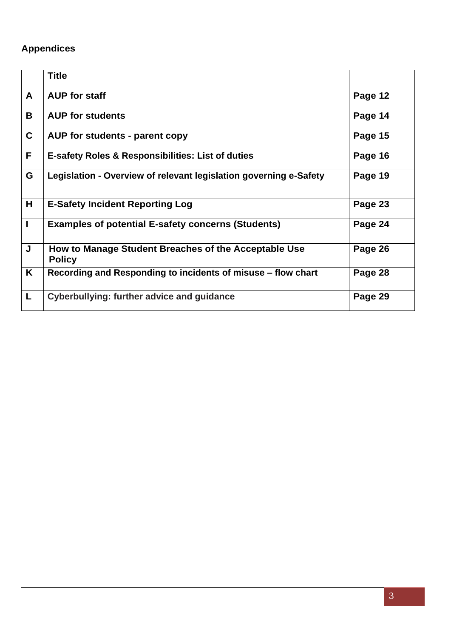# **Appendices**

|              | <b>Title</b>                                                          |         |
|--------------|-----------------------------------------------------------------------|---------|
| A            | <b>AUP for staff</b>                                                  | Page 12 |
| B            | <b>AUP for students</b>                                               | Page 14 |
| $\mathbf C$  | AUP for students - parent copy                                        | Page 15 |
| F.           | E-safety Roles & Responsibilities: List of duties                     | Page 16 |
| G            | Legislation - Overview of relevant legislation governing e-Safety     | Page 19 |
| H            | <b>E-Safety Incident Reporting Log</b>                                | Page 23 |
| $\mathbf{I}$ | <b>Examples of potential E-safety concerns (Students)</b>             | Page 24 |
| J            | How to Manage Student Breaches of the Acceptable Use<br><b>Policy</b> | Page 26 |
| K            | Recording and Responding to incidents of misuse - flow chart          | Page 28 |
| L            | Cyberbullying: further advice and guidance                            | Page 29 |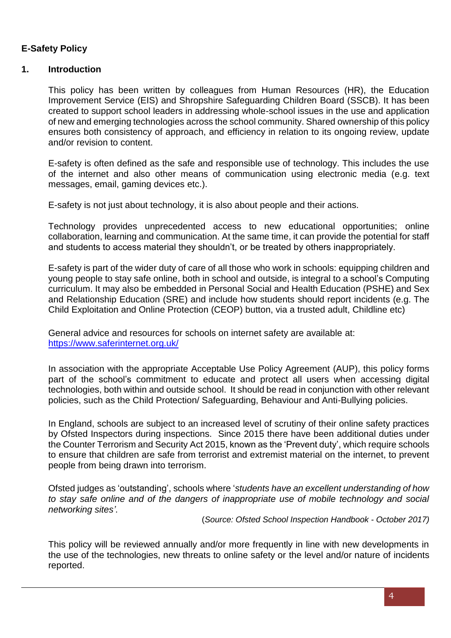# **E-Safety Policy**

# **1. Introduction**

This policy has been written by colleagues from Human Resources (HR), the Education Improvement Service (EIS) and Shropshire Safeguarding Children Board (SSCB). It has been created to support school leaders in addressing whole-school issues in the use and application of new and emerging technologies across the school community. Shared ownership of this policy ensures both consistency of approach, and efficiency in relation to its ongoing review, update and/or revision to content.

E-safety is often defined as the safe and responsible use of technology. This includes the use of the internet and also other means of communication using electronic media (e.g. text messages, email, gaming devices etc.).

E-safety is not just about technology, it is also about people and their actions.

Technology provides unprecedented access to new educational opportunities; online collaboration, learning and communication. At the same time, it can provide the potential for staff and students to access material they shouldn't, or be treated by others inappropriately.

E-safety is part of the wider duty of care of all those who work in schools: equipping children and young people to stay safe online, both in school and outside, is integral to a school's Computing curriculum. It may also be embedded in Personal Social and Health Education (PSHE) and Sex and Relationship Education (SRE) and include how students should report incidents (e.g. The Child Exploitation and Online Protection (CEOP) button, via a trusted adult, Childline etc)

General advice and resources for schools on internet safety are available at: <https://www.saferinternet.org.uk/>

In association with the appropriate Acceptable Use Policy Agreement (AUP), this policy forms part of the school's commitment to educate and protect all users when accessing digital technologies, both within and outside school. It should be read in conjunction with other relevant policies, such as the Child Protection/ Safeguarding, Behaviour and Anti-Bullying policies.

In England, schools are subject to an increased level of scrutiny of their online safety practices by Ofsted Inspectors during inspections. Since 2015 there have been additional duties under the Counter Terrorism and Security Act 2015, known as the 'Prevent duty', which require schools to ensure that children are safe from terrorist and extremist material on the internet, to prevent people from being drawn into terrorism.

Ofsted judges as 'outstanding', schools where '*students have an excellent understanding of how to stay safe online and of the dangers of inappropriate use of mobile technology and social networking sites'*.

(*Source: Ofsted School Inspection Handbook - October 2017)*

This policy will be reviewed annually and/or more frequently in line with new developments in the use of the technologies, new threats to online safety or the level and/or nature of incidents reported.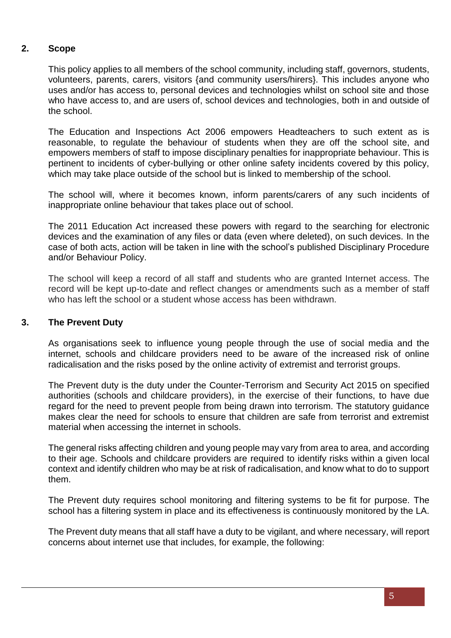# **2. Scope**

This policy applies to all members of the school community, including staff, governors, students, volunteers, parents, carers, visitors {and community users/hirers}. This includes anyone who uses and/or has access to, personal devices and technologies whilst on school site and those who have access to, and are users of, school devices and technologies, both in and outside of the school.

The Education and Inspections Act 2006 empowers Headteachers to such extent as is reasonable, to regulate the behaviour of students when they are off the school site, and empowers members of staff to impose disciplinary penalties for inappropriate behaviour. This is pertinent to incidents of cyber-bullying or other online safety incidents covered by this policy, which may take place outside of the school but is linked to membership of the school.

The school will, where it becomes known, inform parents/carers of any such incidents of inappropriate online behaviour that takes place out of school.

The 2011 Education Act increased these powers with regard to the searching for electronic devices and the examination of any files or data (even where deleted), on such devices. In the case of both acts, action will be taken in line with the school's published Disciplinary Procedure and/or Behaviour Policy.

The school will keep a record of all staff and students who are granted Internet access. The record will be kept up-to-date and reflect changes or amendments such as a member of staff who has left the school or a student whose access has been withdrawn.

# **3. The Prevent Duty**

As organisations seek to influence young people through the use of social media and the internet, schools and childcare providers need to be aware of the increased risk of online radicalisation and the risks posed by the online activity of extremist and terrorist groups.

The Prevent duty is the duty under the Counter-Terrorism and Security Act 2015 on specified authorities (schools and childcare providers), in the exercise of their functions, to have due regard for the need to prevent people from being drawn into terrorism. The statutory guidance makes clear the need for schools to ensure that children are safe from terrorist and extremist material when accessing the internet in schools.

The general risks affecting children and young people may vary from area to area, and according to their age. Schools and childcare providers are required to identify risks within a given local context and identify children who may be at risk of radicalisation, and know what to do to support them.

The Prevent duty requires school monitoring and filtering systems to be fit for purpose. The school has a filtering system in place and its effectiveness is continuously monitored by the LA.

The Prevent duty means that all staff have a duty to be vigilant, and where necessary, will report concerns about internet use that includes, for example, the following: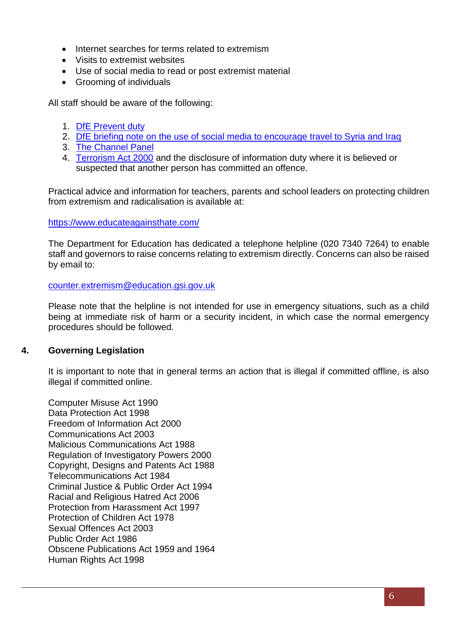- Internet searches for terms related to extremism
- Visits to extremist websites
- Use of social media to read or post extremist material
- Grooming of individuals

All staff should be aware of the following:

- 1. [DfE Prevent duty](https://www.gov.uk/government/uploads/system/uploads/attachment_data/file/439598/prevent-duty-departmental-advice-v6.pdf)
- 2. [DfE briefing note on the use of social media to encourage travel to Syria and Iraq](https://www.gov.uk/government/uploads/system/uploads/attachment_data/file/440450/How_social_media_is_used_to_encourage_travel_to_Syria_and_Iraq.pdf)
- 3. [The Channel Panel](http://course.ncalt.com/Channel_General_Awareness/01/index.html)
- 4. [Terrorism Act 2000](http://www.legislation.gov.uk/ukpga/2000/11/contents) and the disclosure of information duty where it is believed or suspected that another person has committed an offence.

Practical advice and information for [teachers,](https://www.educateagainsthate.com/teachers) [parents](https://www.educateagainsthate.com/parents) and [school leaders](https://www.educateagainsthate.com/school-leaders) on protecting children from extremism and radicalisation is available at:

<https://www.educateagainsthate.com/>

The Department for Education has dedicated a telephone helpline (020 7340 7264) to enable staff and governors to raise concerns relating to extremism directly. Concerns can also be raised by email to:

[counter.extremism@education.gsi.gov.uk](mailto:counter.extremism@education.gsi.gov.uk)

Please note that the helpline is not intended for use in emergency situations, such as a child being at immediate risk of harm or a security incident, in which case the normal emergency procedures should be followed.

# **4. Governing Legislation**

It is important to note that in general terms an action that is illegal if committed offline, is also illegal if committed online.

Computer Misuse Act 1990 Data Protection Act 1998 Freedom of Information Act 2000 Communications Act 2003 Malicious Communications Act 1988 Regulation of Investigatory Powers 2000 Copyright, Designs and Patents Act 1988 Telecommunications Act 1984 Criminal Justice & Public Order Act 1994 Racial and Religious Hatred Act 2006 Protection from Harassment Act 1997 Protection of Children Act 1978 Sexual Offences Act 2003 Public Order Act 1986 Obscene Publications Act 1959 and 1964 Human Rights Act 1998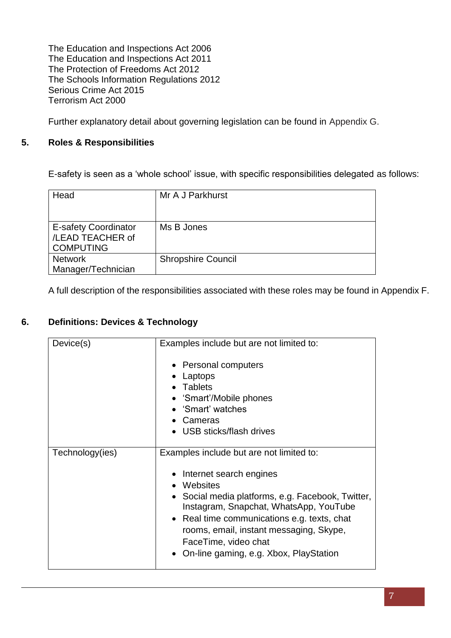The Education and Inspections Act 2006 The Education and Inspections Act 2011 The Protection of Freedoms Act 2012 The Schools Information Regulations 2012 Serious Crime Act 2015 Terrorism Act 2000

Further explanatory detail about governing legislation can be found in Appendix G.

# **5. Roles & Responsibilities**

E-safety is seen as a 'whole school' issue, with specific responsibilities delegated as follows:

| Head                                                                | Mr A J Parkhurst          |
|---------------------------------------------------------------------|---------------------------|
| <b>E-safety Coordinator</b><br>/LEAD TEACHER of<br><b>COMPUTING</b> | Ms B Jones                |
| <b>Network</b><br>Manager/Technician                                | <b>Shropshire Council</b> |

A full description of the responsibilities associated with these roles may be found in Appendix F.

# **6. Definitions: Devices & Technology**

| Device(s)       | Examples include but are not limited to:                                                                                                                                                                                                                                                           |  |  |
|-----------------|----------------------------------------------------------------------------------------------------------------------------------------------------------------------------------------------------------------------------------------------------------------------------------------------------|--|--|
|                 | • Personal computers<br>Laptops<br>Tablets<br>'Smart'/Mobile phones<br>• 'Smart' watches<br>Cameras<br>• USB sticks/flash drives                                                                                                                                                                   |  |  |
| Technology(ies) | Examples include but are not limited to:<br>Internet search engines<br>• Websites<br>• Social media platforms, e.g. Facebook, Twitter,<br>Instagram, Snapchat, WhatsApp, YouTube<br>• Real time communications e.g. texts, chat<br>rooms, email, instant messaging, Skype,<br>FaceTime, video chat |  |  |
|                 | On-line gaming, e.g. Xbox, PlayStation                                                                                                                                                                                                                                                             |  |  |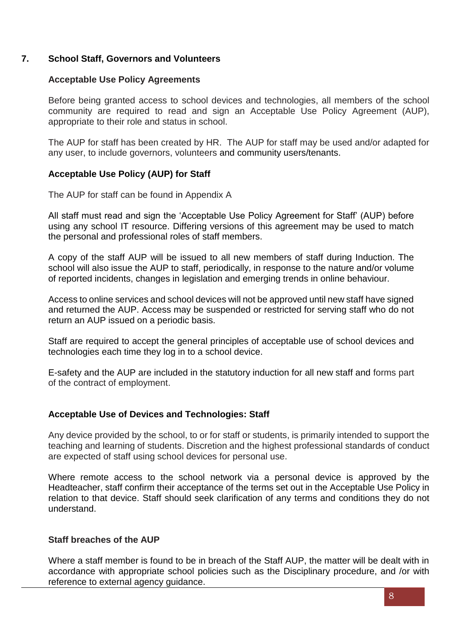# **7. School Staff, Governors and Volunteers**

# **Acceptable Use Policy Agreements**

Before being granted access to school devices and technologies, all members of the school community are required to read and sign an Acceptable Use Policy Agreement (AUP), appropriate to their role and status in school.

The AUP for staff has been created by HR. The AUP for staff may be used and/or adapted for any user, to include governors, volunteers and community users/tenants.

# **Acceptable Use Policy (AUP) for Staff**

The AUP for staff can be found in Appendix A

All staff must read and sign the 'Acceptable Use Policy Agreement for Staff' (AUP) before using any school IT resource. Differing versions of this agreement may be used to match the personal and professional roles of staff members.

A copy of the staff AUP will be issued to all new members of staff during Induction. The school will also issue the AUP to staff, periodically, in response to the nature and/or volume of reported incidents, changes in legislation and emerging trends in online behaviour.

Access to online services and school devices will not be approved until new staff have signed and returned the AUP. Access may be suspended or restricted for serving staff who do not return an AUP issued on a periodic basis.

Staff are required to accept the general principles of acceptable use of school devices and technologies each time they log in to a school device.

E-safety and the AUP are included in the statutory induction for all new staff and forms part of the contract of employment.

# **Acceptable Use of Devices and Technologies: Staff**

Any device provided by the school, to or for staff or students, is primarily intended to support the teaching and learning of students. Discretion and the highest professional standards of conduct are expected of staff using school devices for personal use.

Where remote access to the school network via a personal device is approved by the Headteacher, staff confirm their acceptance of the terms set out in the Acceptable Use Policy in relation to that device. Staff should seek clarification of any terms and conditions they do not understand.

# **Staff breaches of the AUP**

Where a staff member is found to be in breach of the Staff AUP, the matter will be dealt with in accordance with appropriate school policies such as the Disciplinary procedure, and /or with reference to external agency guidance.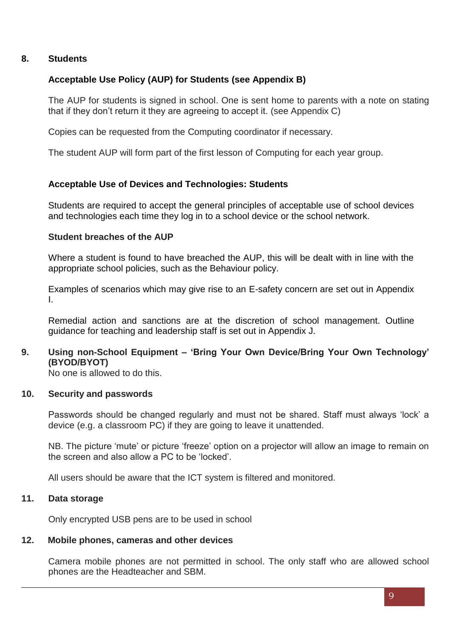# **8. Students**

# **Acceptable Use Policy (AUP) for Students (see Appendix B)**

The AUP for students is signed in school. One is sent home to parents with a note on stating that if they don't return it they are agreeing to accept it. (see Appendix C)

Copies can be requested from the Computing coordinator if necessary.

The student AUP will form part of the first lesson of Computing for each year group.

# **Acceptable Use of Devices and Technologies: Students**

Students are required to accept the general principles of acceptable use of school devices and technologies each time they log in to a school device or the school network.

# **Student breaches of the AUP**

Where a student is found to have breached the AUP, this will be dealt with in line with the appropriate school policies, such as the Behaviour policy.

Examples of scenarios which may give rise to an E-safety concern are set out in Appendix I.

Remedial action and sanctions are at the discretion of school management. Outline guidance for teaching and leadership staff is set out in Appendix J.

# **9. Using non-School Equipment – 'Bring Your Own Device/Bring Your Own Technology' (BYOD/BYOT)**

No one is allowed to do this.

#### **10. Security and passwords**

Passwords should be changed regularly and must not be shared. Staff must always 'lock' a device (e.g. a classroom PC) if they are going to leave it unattended.

NB. The picture 'mute' or picture 'freeze' option on a projector will allow an image to remain on the screen and also allow a PC to be 'locked'.

All users should be aware that the ICT system is filtered and monitored.

# **11. Data storage**

Only encrypted USB pens are to be used in school

# **12. Mobile phones, cameras and other devices**

Camera mobile phones are not permitted in school. The only staff who are allowed school phones are the Headteacher and SBM.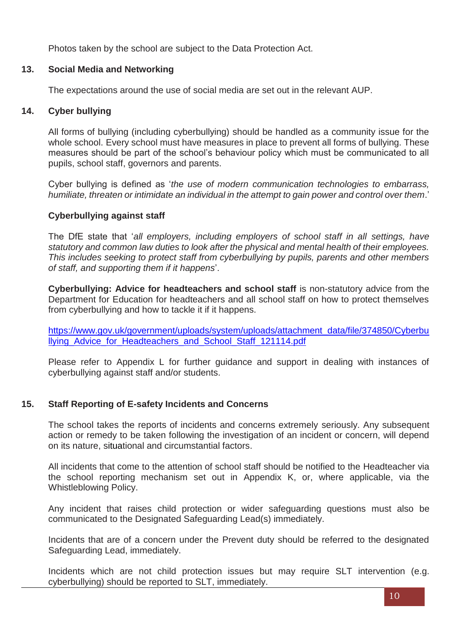Photos taken by the school are subject to the Data Protection Act.

# **13. Social Media and Networking**

The expectations around the use of social media are set out in the relevant AUP.

# **14. Cyber bullying**

All forms of bullying (including cyberbullying) should be handled as a community issue for the whole school. Every school must have measures in place to prevent all forms of bullying. These measures should be part of the school's behaviour policy which must be communicated to all pupils, school staff, governors and parents.

Cyber bullying is defined as '*the use of modern communication technologies to embarrass, humiliate, threaten or intimidate an individual in the attempt to gain power and control over them*.'

# **Cyberbullying against staff**

The DfE state that '*all employers, including employers of school staff in all settings, have statutory and common law duties to look after the physical and mental health of their employees. This includes seeking to protect staff from cyberbullying by pupils, parents and other members of staff, and supporting them if it happens*'.

**Cyberbullying: Advice for headteachers and school staff** is non-statutory advice from the Department for Education for headteachers and all school staff on how to protect themselves from cyberbullying and how to tackle it if it happens.

[https://www.gov.uk/government/uploads/system/uploads/attachment\\_data/file/374850/Cyberbu](https://www.gov.uk/government/uploads/system/uploads/attachment_data/file/374850/Cyberbullying_Advice_for_Headteachers_and_School_Staff_121114.pdf) [llying\\_Advice\\_for\\_Headteachers\\_and\\_School\\_Staff\\_121114.pdf](https://www.gov.uk/government/uploads/system/uploads/attachment_data/file/374850/Cyberbullying_Advice_for_Headteachers_and_School_Staff_121114.pdf)

Please refer to Appendix L for further guidance and support in dealing with instances of cyberbullying against staff and/or students.

# **15. Staff Reporting of E-safety Incidents and Concerns**

The school takes the reports of incidents and concerns extremely seriously. Any subsequent action or remedy to be taken following the investigation of an incident or concern, will depend on its nature, situational and circumstantial factors.

All incidents that come to the attention of school staff should be notified to the Headteacher via the school reporting mechanism set out in Appendix K, or, where applicable, via the Whistleblowing Policy.

Any incident that raises child protection or wider safeguarding questions must also be communicated to the Designated Safeguarding Lead(s) immediately.

Incidents that are of a concern under the Prevent duty should be referred to the designated Safeguarding Lead, immediately.

Incidents which are not child protection issues but may require SLT intervention (e.g. cyberbullying) should be reported to SLT, immediately.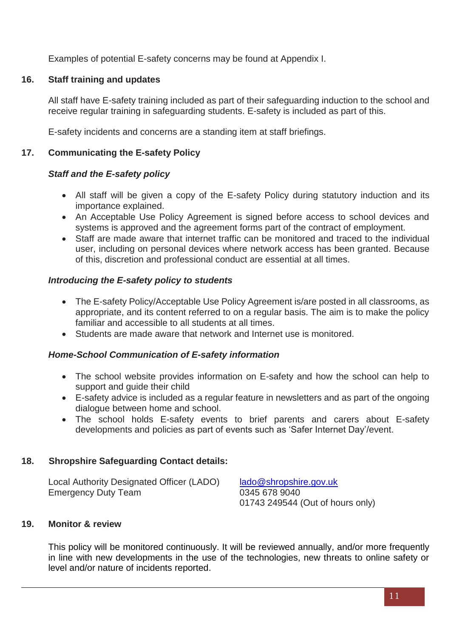Examples of potential E-safety concerns may be found at Appendix I.

# **16. Staff training and updates**

All staff have E-safety training included as part of their safeguarding induction to the school and receive regular training in safeguarding students. E-safety is included as part of this.

E-safety incidents and concerns are a standing item at staff briefings.

# **17. Communicating the E-safety Policy**

# *Staff and the E-safety policy*

- All staff will be given a copy of the E-safety Policy during statutory induction and its importance explained.
- An Acceptable Use Policy Agreement is signed before access to school devices and systems is approved and the agreement forms part of the contract of employment.
- Staff are made aware that internet traffic can be monitored and traced to the individual user, including on personal devices where network access has been granted. Because of this, discretion and professional conduct are essential at all times.

# *Introducing the E-safety policy to students*

- The E-safety Policy/Acceptable Use Policy Agreement is/are posted in all classrooms, as appropriate, and its content referred to on a regular basis. The aim is to make the policy familiar and accessible to all students at all times.
- Students are made aware that network and Internet use is monitored.

# *Home-School Communication of E-safety information*

- The school website provides information on E-safety and how the school can help to support and guide their child
- E-safety advice is included as a regular feature in newsletters and as part of the ongoing dialogue between home and school.
- The school holds E-safety events to brief parents and carers about E-safety developments and policies as part of events such as 'Safer Internet Day'/event.

# **18. Shropshire Safeguarding Contact details:**

Local Authority Designated Officer (LADO) [lado@shropshire.gov.uk](mailto:lado@shropshire.gov.uk) Emergency Duty Team 0345 678 9040

01743 249544 (Out of hours only)

# **19. Monitor & review**

This policy will be monitored continuously. It will be reviewed annually, and/or more frequently in line with new developments in the use of the technologies, new threats to online safety or level and/or nature of incidents reported.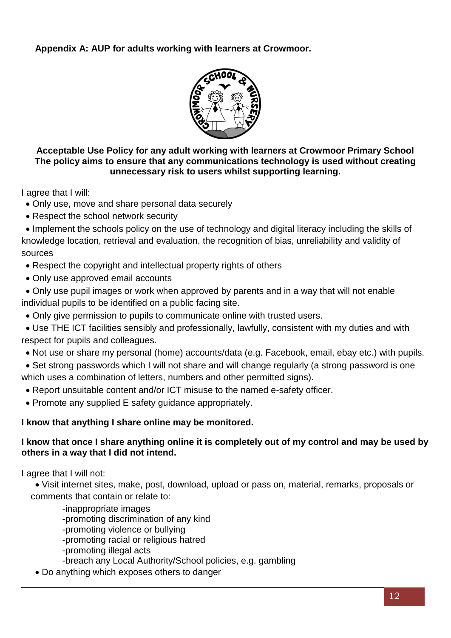# **Appendix A: AUP for adults working with learners at Crowmoor.**



# **Acceptable Use Policy for any adult working with learners at Crowmoor Primary School The policy aims to ensure that any communications technology is used without creating unnecessary risk to users whilst supporting learning.**

I agree that I will:

- Only use, move and share personal data securely
- Respect the school network security

• Implement the schools policy on the use of technology and digital literacy including the skills of knowledge location, retrieval and evaluation, the recognition of bias, unreliability and validity of sources

- Respect the copyright and intellectual property rights of others
- Only use approved email accounts

• Only use pupil images or work when approved by parents and in a way that will not enable individual pupils to be identified on a public facing site.

• Only give permission to pupils to communicate online with trusted users.

• Use THE ICT facilities sensibly and professionally, lawfully, consistent with my duties and with respect for pupils and colleagues.

- Not use or share my personal (home) accounts/data (e.g. Facebook, email, ebay etc.) with pupils.
- Set strong passwords which I will not share and will change regularly (a strong password is one which uses a combination of letters, numbers and other permitted signs).
	- Report unsuitable content and/or ICT misuse to the named e-safety officer.
	- Promote any supplied E safety guidance appropriately.

# **I know that anything I share online may be monitored.**

# **I know that once I share anything online it is completely out of my control and may be used by others in a way that I did not intend.**

I agree that I will not:

• Visit internet sites, make, post, download, upload or pass on, material, remarks, proposals or comments that contain or relate to:

-inappropriate images -promoting discrimination of any kind -promoting violence or bullying -promoting racial or religious hatred -promoting illegal acts -breach any Local Authority/School policies, e.g. gambling

• Do anything which exposes others to danger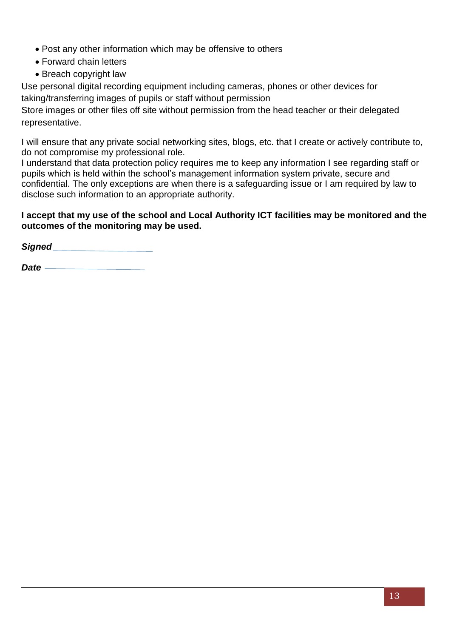- Post any other information which may be offensive to others
- Forward chain letters
- Breach copyright law

Use personal digital recording equipment including cameras, phones or other devices for taking/transferring images of pupils or staff without permission

Store images or other files off site without permission from the head teacher or their delegated representative.

I will ensure that any private social networking sites, blogs, etc. that I create or actively contribute to, do not compromise my professional role.

I understand that data protection policy requires me to keep any information I see regarding staff or pupils which is held within the school's management information system private, secure and confidential. The only exceptions are when there is a safeguarding issue or I am required by law to disclose such information to an appropriate authority.

# **I accept that my use of the school and Local Authority ICT facilities may be monitored and the outcomes of the monitoring may be used.**

*Signed* 

*Date*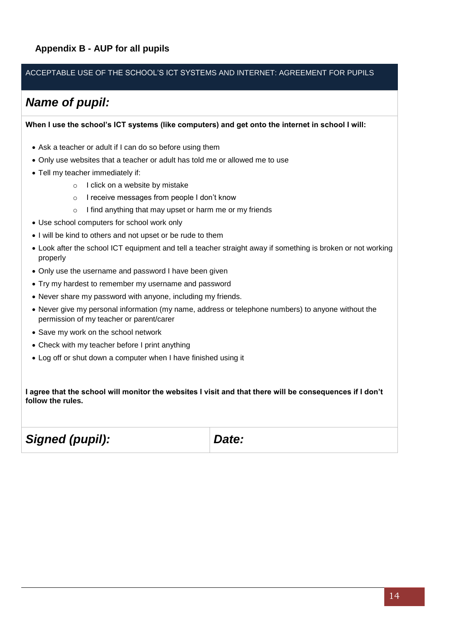# **Appendix B - AUP for all pupils**

#### ACCEPTABLE USE OF THE SCHOOL'S ICT SYSTEMS AND INTERNET: AGREEMENT FOR PUPILS

# *Name of pupil:*

**When I use the school's ICT systems (like computers) and get onto the internet in school I will:**

- Ask a teacher or adult if I can do so before using them
- Only use websites that a teacher or adult has told me or allowed me to use
- Tell my teacher immediately if:
	- o I click on a website by mistake
	- o I receive messages from people I don't know
	- o I find anything that may upset or harm me or my friends
- Use school computers for school work only
- I will be kind to others and not upset or be rude to them
- Look after the school ICT equipment and tell a teacher straight away if something is broken or not working properly
- Only use the username and password I have been given
- Try my hardest to remember my username and password
- Never share my password with anyone, including my friends.
- Never give my personal information (my name, address or telephone numbers) to anyone without the permission of my teacher or parent/carer
- Save my work on the school network
- Check with my teacher before I print anything
- Log off or shut down a computer when I have finished using it

**I agree that the school will monitor the websites I visit and that there will be consequences if I don't follow the rules.**

*Signed (pupil): Date:*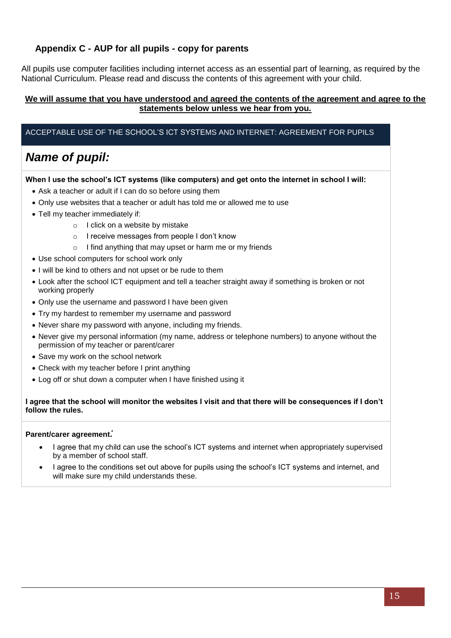# **Appendix C - AUP for all pupils - copy for parents**

All pupils use computer facilities including internet access as an essential part of learning, as required by the National Curriculum. Please read and discuss the contents of this agreement with your child.

#### **We will assume that you have understood and agreed the contents of the agreement and agree to the statements below unless we hear from you.**

#### ACCEPTABLE USE OF THE SCHOOL'S ICT SYSTEMS AND INTERNET: AGREEMENT FOR PUPILS

# *Name of pupil:*

#### **When I use the school's ICT systems (like computers) and get onto the internet in school I will:**

- Ask a teacher or adult if I can do so before using them
- Only use websites that a teacher or adult has told me or allowed me to use
- Tell my teacher immediately if:
	- o I click on a website by mistake
	- o I receive messages from people I don't know
	- o I find anything that may upset or harm me or my friends
- Use school computers for school work only
- I will be kind to others and not upset or be rude to them
- Look after the school ICT equipment and tell a teacher straight away if something is broken or not working properly
- Only use the username and password I have been given
- Try my hardest to remember my username and password
- Never share my password with anyone, including my friends.
- Never give my personal information (my name, address or telephone numbers) to anyone without the permission of my teacher or parent/carer
- Save my work on the school network
- Check with my teacher before I print anything
- Log off or shut down a computer when I have finished using it

#### **I agree that the school will monitor the websites I visit and that there will be consequences if I don't follow the rules.**

#### **Parent/carer agreement***:*

- I agree that my child can use the school's ICT systems and internet when appropriately supervised by a member of school staff.
- I agree to the conditions set out above for pupils using the school's ICT systems and internet, and will make sure my child understands these.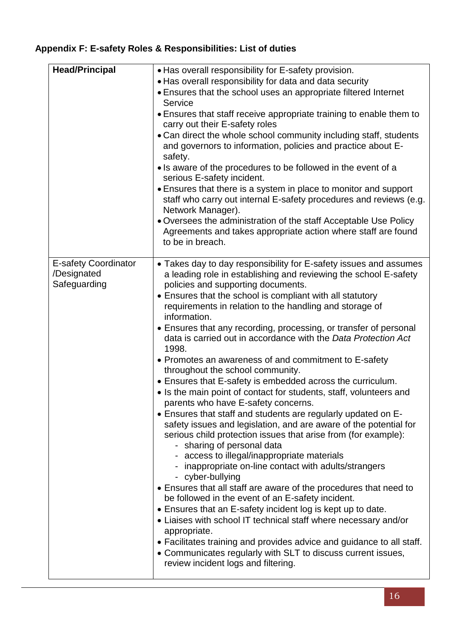# **Appendix F: E-safety Roles & Responsibilities: List of duties**

| <b>Head/Principal</b>                                      | . Has overall responsibility for E-safety provision.                                                                                                                                                                                                                                                                                                                                                                                                                                                                                                                                                                                                                                                                                                                                                                                                                                                                                                                                                                                                                                                                                                                                                                                                                                                                                                                                                                                                           |  |  |  |
|------------------------------------------------------------|----------------------------------------------------------------------------------------------------------------------------------------------------------------------------------------------------------------------------------------------------------------------------------------------------------------------------------------------------------------------------------------------------------------------------------------------------------------------------------------------------------------------------------------------------------------------------------------------------------------------------------------------------------------------------------------------------------------------------------------------------------------------------------------------------------------------------------------------------------------------------------------------------------------------------------------------------------------------------------------------------------------------------------------------------------------------------------------------------------------------------------------------------------------------------------------------------------------------------------------------------------------------------------------------------------------------------------------------------------------------------------------------------------------------------------------------------------------|--|--|--|
|                                                            | • Has overall responsibility for data and data security                                                                                                                                                                                                                                                                                                                                                                                                                                                                                                                                                                                                                                                                                                                                                                                                                                                                                                                                                                                                                                                                                                                                                                                                                                                                                                                                                                                                        |  |  |  |
|                                                            | • Ensures that the school uses an appropriate filtered Internet<br>Service                                                                                                                                                                                                                                                                                                                                                                                                                                                                                                                                                                                                                                                                                                                                                                                                                                                                                                                                                                                                                                                                                                                                                                                                                                                                                                                                                                                     |  |  |  |
|                                                            | • Ensures that staff receive appropriate training to enable them to<br>carry out their E-safety roles                                                                                                                                                                                                                                                                                                                                                                                                                                                                                                                                                                                                                                                                                                                                                                                                                                                                                                                                                                                                                                                                                                                                                                                                                                                                                                                                                          |  |  |  |
|                                                            | • Can direct the whole school community including staff, students<br>and governors to information, policies and practice about E-<br>safety.                                                                                                                                                                                                                                                                                                                                                                                                                                                                                                                                                                                                                                                                                                                                                                                                                                                                                                                                                                                                                                                                                                                                                                                                                                                                                                                   |  |  |  |
|                                                            | • Is aware of the procedures to be followed in the event of a<br>serious E-safety incident.                                                                                                                                                                                                                                                                                                                                                                                                                                                                                                                                                                                                                                                                                                                                                                                                                                                                                                                                                                                                                                                                                                                                                                                                                                                                                                                                                                    |  |  |  |
|                                                            | • Ensures that there is a system in place to monitor and support<br>staff who carry out internal E-safety procedures and reviews (e.g.<br>Network Manager).                                                                                                                                                                                                                                                                                                                                                                                                                                                                                                                                                                                                                                                                                                                                                                                                                                                                                                                                                                                                                                                                                                                                                                                                                                                                                                    |  |  |  |
|                                                            | . Oversees the administration of the staff Acceptable Use Policy<br>Agreements and takes appropriate action where staff are found<br>to be in breach.                                                                                                                                                                                                                                                                                                                                                                                                                                                                                                                                                                                                                                                                                                                                                                                                                                                                                                                                                                                                                                                                                                                                                                                                                                                                                                          |  |  |  |
| <b>E-safety Coordinator</b><br>/Designated<br>Safeguarding | • Takes day to day responsibility for E-safety issues and assumes<br>a leading role in establishing and reviewing the school E-safety<br>policies and supporting documents.<br>• Ensures that the school is compliant with all statutory<br>requirements in relation to the handling and storage of<br>information.<br>• Ensures that any recording, processing, or transfer of personal<br>data is carried out in accordance with the Data Protection Act<br>1998.<br>• Promotes an awareness of and commitment to E-safety<br>throughout the school community.<br>• Ensures that E-safety is embedded across the curriculum.<br>• Is the main point of contact for students, staff, volunteers and<br>parents who have E-safety concerns.<br>• Ensures that staff and students are regularly updated on E-<br>safety issues and legislation, and are aware of the potential for<br>serious child protection issues that arise from (for example):<br>- sharing of personal data<br>access to illegal/inappropriate materials<br>inappropriate on-line contact with adults/strangers<br>- cyber-bullying<br>• Ensures that all staff are aware of the procedures that need to<br>be followed in the event of an E-safety incident.<br>• Ensures that an E-safety incident log is kept up to date.<br>• Liaises with school IT technical staff where necessary and/or<br>appropriate.<br>• Facilitates training and provides advice and guidance to all staff. |  |  |  |
|                                                            | • Communicates regularly with SLT to discuss current issues,<br>review incident logs and filtering.                                                                                                                                                                                                                                                                                                                                                                                                                                                                                                                                                                                                                                                                                                                                                                                                                                                                                                                                                                                                                                                                                                                                                                                                                                                                                                                                                            |  |  |  |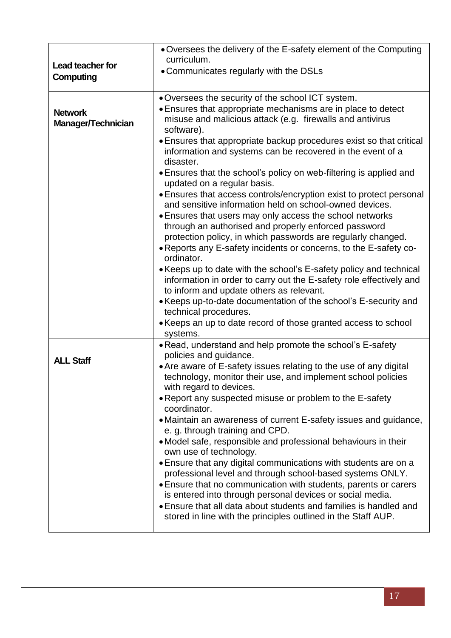| Lead teacher for<br>Computing        | • Oversees the delivery of the E-safety element of the Computing<br>curriculum.<br>• Communicates regularly with the DSLs                                                                                                                                    |
|--------------------------------------|--------------------------------------------------------------------------------------------------------------------------------------------------------------------------------------------------------------------------------------------------------------|
| <b>Network</b><br>Manager/Technician | • Oversees the security of the school ICT system.<br>• Ensures that appropriate mechanisms are in place to detect<br>misuse and malicious attack (e.g. firewalls and antivirus<br>software).                                                                 |
|                                      | • Ensures that appropriate backup procedures exist so that critical<br>information and systems can be recovered in the event of a<br>disaster.                                                                                                               |
|                                      | • Ensures that the school's policy on web-filtering is applied and<br>updated on a regular basis.                                                                                                                                                            |
|                                      | • Ensures that access controls/encryption exist to protect personal<br>and sensitive information held on school-owned devices.<br>• Ensures that users may only access the school networks<br>through an authorised and properly enforced password           |
|                                      | protection policy, in which passwords are regularly changed.<br>• Reports any E-safety incidents or concerns, to the E-safety co-<br>ordinator.                                                                                                              |
|                                      | • Keeps up to date with the school's E-safety policy and technical<br>information in order to carry out the E-safety role effectively and<br>to inform and update others as relevant.                                                                        |
|                                      | • Keeps up-to-date documentation of the school's E-security and<br>technical procedures.                                                                                                                                                                     |
|                                      | • Keeps an up to date record of those granted access to school<br>systems.                                                                                                                                                                                   |
| <b>ALL Staff</b>                     | • Read, understand and help promote the school's E-safety<br>policies and guidance.<br>• Are aware of E-safety issues relating to the use of any digital                                                                                                     |
|                                      | technology, monitor their use, and implement school policies<br>with regard to devices.                                                                                                                                                                      |
|                                      | • Report any suspected misuse or problem to the E-safety<br>coordinator.                                                                                                                                                                                     |
|                                      | • Maintain an awareness of current E-safety issues and guidance,<br>e. g. through training and CPD.                                                                                                                                                          |
|                                      | • Model safe, responsible and professional behaviours in their<br>own use of technology.                                                                                                                                                                     |
|                                      | • Ensure that any digital communications with students are on a<br>professional level and through school-based systems ONLY.<br>• Ensure that no communication with students, parents or carers<br>is entered into through personal devices or social media. |
|                                      | • Ensure that all data about students and families is handled and<br>stored in line with the principles outlined in the Staff AUP.                                                                                                                           |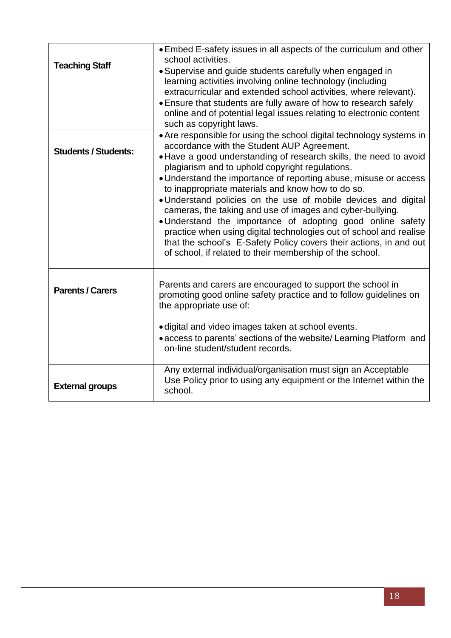| <b>Teaching Staff</b>       | • Embed E-safety issues in all aspects of the curriculum and other<br>school activities.<br>• Supervise and guide students carefully when engaged in<br>learning activities involving online technology (including<br>extracurricular and extended school activities, where relevant).<br>• Ensure that students are fully aware of how to research safely<br>online and of potential legal issues relating to electronic content<br>such as copyright laws.                                                                                                                                                                                                                                                                                                             |
|-----------------------------|--------------------------------------------------------------------------------------------------------------------------------------------------------------------------------------------------------------------------------------------------------------------------------------------------------------------------------------------------------------------------------------------------------------------------------------------------------------------------------------------------------------------------------------------------------------------------------------------------------------------------------------------------------------------------------------------------------------------------------------------------------------------------|
| <b>Students / Students:</b> | • Are responsible for using the school digital technology systems in<br>accordance with the Student AUP Agreement.<br>• Have a good understanding of research skills, the need to avoid<br>plagiarism and to uphold copyright regulations.<br>• Understand the importance of reporting abuse, misuse or access<br>to inappropriate materials and know how to do so.<br>. Understand policies on the use of mobile devices and digital<br>cameras, the taking and use of images and cyber-bullying.<br>. Understand the importance of adopting good online safety<br>practice when using digital technologies out of school and realise<br>that the school's E-Safety Policy covers their actions, in and out<br>of school, if related to their membership of the school. |
| <b>Parents / Carers</b>     | Parents and carers are encouraged to support the school in<br>promoting good online safety practice and to follow guidelines on<br>the appropriate use of:<br>• digital and video images taken at school events.<br>• access to parents' sections of the website/ Learning Platform and<br>on-line student/student records.                                                                                                                                                                                                                                                                                                                                                                                                                                              |
| <b>External groups</b>      | Any external individual/organisation must sign an Acceptable<br>Use Policy prior to using any equipment or the Internet within the<br>school.                                                                                                                                                                                                                                                                                                                                                                                                                                                                                                                                                                                                                            |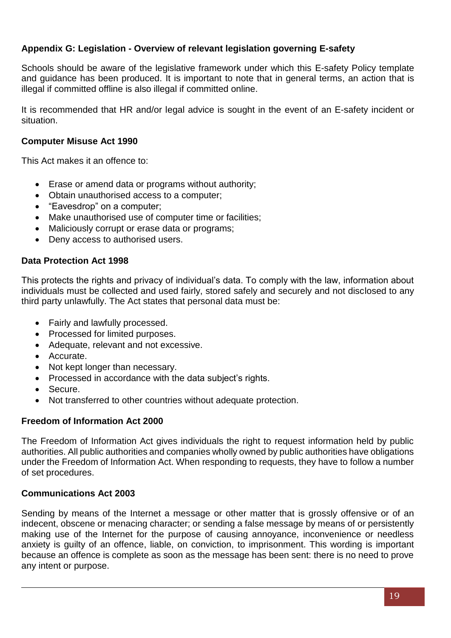# **Appendix G: Legislation - Overview of relevant legislation governing E-safety**

Schools should be aware of the legislative framework under which this E-safety Policy template and guidance has been produced. It is important to note that in general terms, an action that is illegal if committed offline is also illegal if committed online.

It is recommended that HR and/or legal advice is sought in the event of an E-safety incident or situation.

# **Computer Misuse Act 1990**

This Act makes it an offence to:

- Erase or amend data or programs without authority;
- Obtain unauthorised access to a computer;
- "Eavesdrop" on a computer;
- Make unauthorised use of computer time or facilities;
- Maliciously corrupt or erase data or programs;
- Deny access to authorised users.

# **Data Protection Act 1998**

This protects the rights and privacy of individual's data. To comply with the law, information about individuals must be collected and used fairly, stored safely and securely and not disclosed to any third party unlawfully. The Act states that personal data must be:

- Fairly and lawfully processed.
- Processed for limited purposes.
- Adequate, relevant and not excessive.
- Accurate.
- Not kept longer than necessary.
- Processed in accordance with the data subject's rights.
- Secure.
- Not transferred to other countries without adequate protection.

# **Freedom of Information Act 2000**

The Freedom of Information Act gives individuals the right to request information held by public authorities. All public authorities and companies wholly owned by public authorities have obligations under the Freedom of Information Act. When responding to requests, they have to follow a number of set procedures.

# **Communications Act 2003**

Sending by means of the Internet a message or other matter that is grossly offensive or of an indecent, obscene or menacing character; or sending a false message by means of or persistently making use of the Internet for the purpose of causing annoyance, inconvenience or needless anxiety is guilty of an offence, liable, on conviction, to imprisonment. This wording is important because an offence is complete as soon as the message has been sent: there is no need to prove any intent or purpose.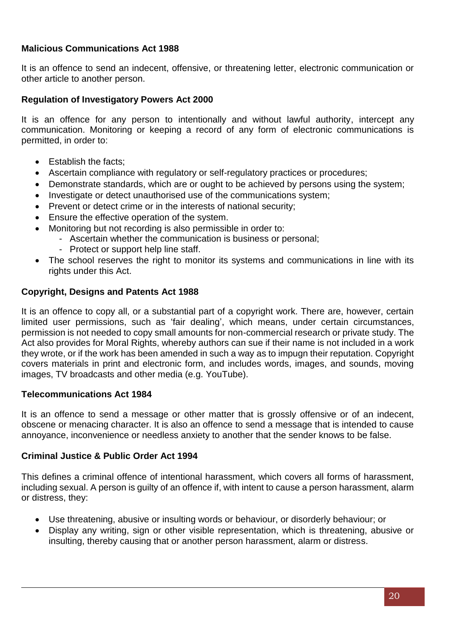# **Malicious Communications Act 1988**

It is an offence to send an indecent, offensive, or threatening letter, electronic communication or other article to another person.

# **Regulation of Investigatory Powers Act 2000**

It is an offence for any person to intentionally and without lawful authority, intercept any communication. Monitoring or keeping a record of any form of electronic communications is permitted, in order to:

- Establish the facts:
- Ascertain compliance with regulatory or self-regulatory practices or procedures;
- Demonstrate standards, which are or ought to be achieved by persons using the system;
- Investigate or detect unauthorised use of the communications system;
- Prevent or detect crime or in the interests of national security;
- Ensure the effective operation of the system.
- Monitoring but not recording is also permissible in order to:
	- Ascertain whether the communication is business or personal;
	- Protect or support help line staff.
- The school reserves the right to monitor its systems and communications in line with its rights under this Act.

# **Copyright, Designs and Patents Act 1988**

It is an offence to copy all, or a substantial part of a copyright work. There are, however, certain limited user permissions, such as 'fair dealing', which means, under certain circumstances, permission is not needed to copy small amounts for non-commercial research or private study. The Act also provides for Moral Rights, whereby authors can sue if their name is not included in a work they wrote, or if the work has been amended in such a way as to impugn their reputation. Copyright covers materials in print and electronic form, and includes words, images, and sounds, moving images, TV broadcasts and other media (e.g. YouTube).

# **Telecommunications Act 1984**

It is an offence to send a message or other matter that is grossly offensive or of an indecent, obscene or menacing character. It is also an offence to send a message that is intended to cause annoyance, inconvenience or needless anxiety to another that the sender knows to be false.

# **Criminal Justice & Public Order Act 1994**

This defines a criminal offence of intentional harassment, which covers all forms of harassment, including sexual. A person is guilty of an offence if, with intent to cause a person harassment, alarm or distress, they:

- Use threatening, abusive or insulting words or behaviour, or disorderly behaviour; or
- Display any writing, sign or other visible representation, which is threatening, abusive or insulting, thereby causing that or another person harassment, alarm or distress.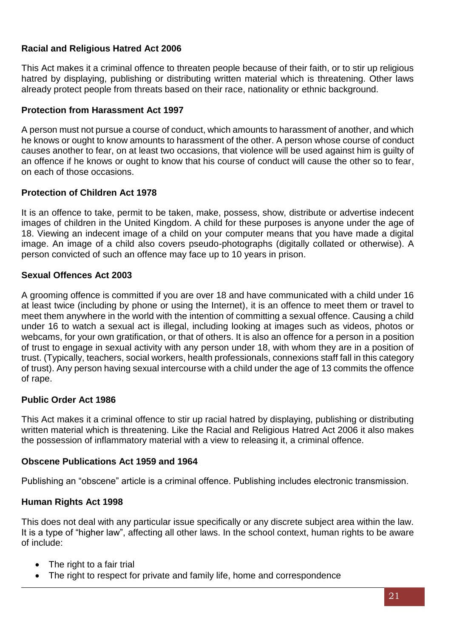# **Racial and Religious Hatred Act 2006**

This Act makes it a criminal offence to threaten people because of their faith, or to stir up religious hatred by displaying, publishing or distributing written material which is threatening. Other laws already protect people from threats based on their race, nationality or ethnic background.

# **Protection from Harassment Act 1997**

A person must not pursue a course of conduct, which amounts to harassment of another, and which he knows or ought to know amounts to harassment of the other. A person whose course of conduct causes another to fear, on at least two occasions, that violence will be used against him is guilty of an offence if he knows or ought to know that his course of conduct will cause the other so to fear, on each of those occasions.

# **Protection of Children Act 1978**

It is an offence to take, permit to be taken, make, possess, show, distribute or advertise indecent images of children in the United Kingdom. A child for these purposes is anyone under the age of 18. Viewing an indecent image of a child on your computer means that you have made a digital image. An image of a child also covers pseudo-photographs (digitally collated or otherwise). A person convicted of such an offence may face up to 10 years in prison.

# **Sexual Offences Act 2003**

A grooming offence is committed if you are over 18 and have communicated with a child under 16 at least twice (including by phone or using the Internet), it is an offence to meet them or travel to meet them anywhere in the world with the intention of committing a sexual offence. Causing a child under 16 to watch a sexual act is illegal, including looking at images such as videos, photos or webcams, for your own gratification, or that of others. It is also an offence for a person in a position of trust to engage in sexual activity with any person under 18, with whom they are in a position of trust. (Typically, teachers, social workers, health professionals, connexions staff fall in this category of trust). Any person having sexual intercourse with a child under the age of 13 commits the offence of rape.

# **Public Order Act 1986**

This Act makes it a criminal offence to stir up racial hatred by displaying, publishing or distributing written material which is threatening. Like the Racial and Religious Hatred Act 2006 it also makes the possession of inflammatory material with a view to releasing it, a criminal offence.

# **Obscene Publications Act 1959 and 1964**

Publishing an "obscene" article is a criminal offence. Publishing includes electronic transmission.

# **Human Rights Act 1998**

This does not deal with any particular issue specifically or any discrete subject area within the law. It is a type of "higher law", affecting all other laws. In the school context, human rights to be aware of include:

- The right to a fair trial
- The right to respect for private and family life, home and correspondence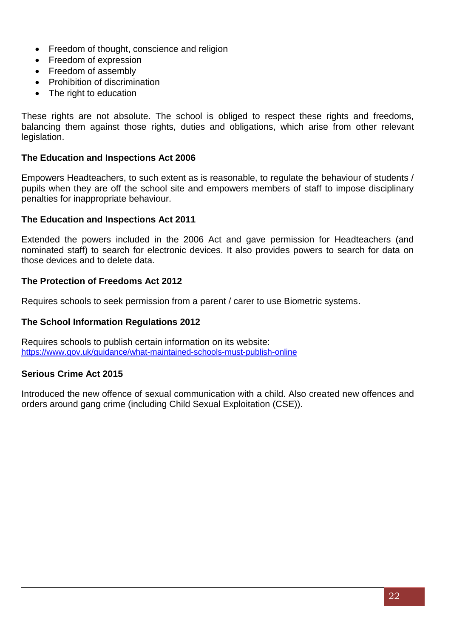- Freedom of thought, conscience and religion
- Freedom of expression
- Freedom of assembly
- Prohibition of discrimination
- The right to education

These rights are not absolute. The school is obliged to respect these rights and freedoms, balancing them against those rights, duties and obligations, which arise from other relevant legislation.

#### **The Education and Inspections Act 2006**

Empowers Headteachers, to such extent as is reasonable, to regulate the behaviour of students / pupils when they are off the school site and empowers members of staff to impose disciplinary penalties for inappropriate behaviour.

#### **The Education and Inspections Act 2011**

Extended the powers included in the 2006 Act and gave permission for Headteachers (and nominated staff) to search for electronic devices. It also provides powers to search for data on those devices and to delete data.

#### **The Protection of Freedoms Act 2012**

Requires schools to seek permission from a parent / carer to use Biometric systems.

#### **The School Information Regulations 2012**

Requires schools to publish certain information on its website: <https://www.gov.uk/guidance/what-maintained-schools-must-publish-online>

#### **Serious Crime Act 2015**

Introduced the new offence of sexual communication with a child. Also created new offences and orders around gang crime (including Child Sexual Exploitation (CSE)).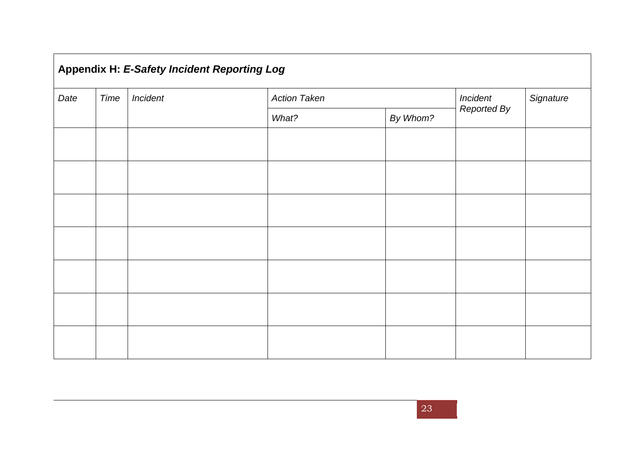| Appendix H: E-Safety Incident Reporting Log |                  |  |                     |          |                    |           |
|---------------------------------------------|------------------|--|---------------------|----------|--------------------|-----------|
| Date                                        | Time<br>Incident |  | <b>Action Taken</b> |          | Incident           | Signature |
|                                             |                  |  | What?               | By Whom? | <b>Reported By</b> |           |
|                                             |                  |  |                     |          |                    |           |
|                                             |                  |  |                     |          |                    |           |
|                                             |                  |  |                     |          |                    |           |
|                                             |                  |  |                     |          |                    |           |
|                                             |                  |  |                     |          |                    |           |
|                                             |                  |  |                     |          |                    |           |
|                                             |                  |  |                     |          |                    |           |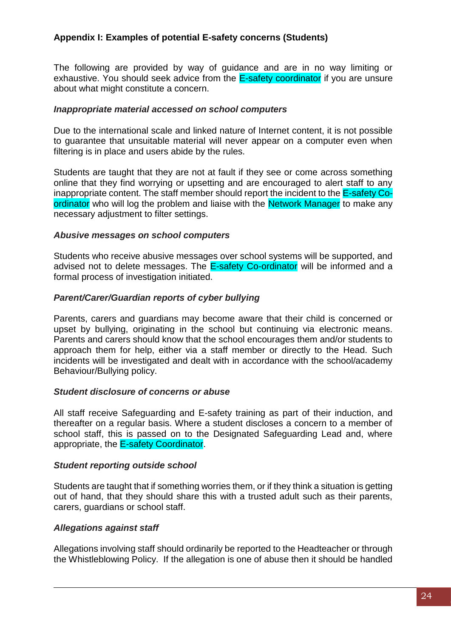# **Appendix I: Examples of potential E-safety concerns (Students)**

The following are provided by way of guidance and are in no way limiting or exhaustive. You should seek advice from the E-safety coordinator if you are unsure about what might constitute a concern.

#### *Inappropriate material accessed on school computers*

Due to the international scale and linked nature of Internet content, it is not possible to guarantee that unsuitable material will never appear on a computer even when filtering is in place and users abide by the rules.

Students are taught that they are not at fault if they see or come across something online that they find worrying or upsetting and are encouraged to alert staff to any inappropriate content. The staff member should report the incident to the E-safety Coordinator who will log the problem and liaise with the Network Manager to make any necessary adjustment to filter settings.

#### *Abusive messages on school computers*

Students who receive abusive messages over school systems will be supported, and advised not to delete messages. The **E-safety Co-ordinator** will be informed and a formal process of investigation initiated.

# *Parent/Carer/Guardian reports of cyber bullying*

Parents, carers and guardians may become aware that their child is concerned or upset by bullying, originating in the school but continuing via electronic means. Parents and carers should know that the school encourages them and/or students to approach them for help, either via a staff member or directly to the Head. Such incidents will be investigated and dealt with in accordance with the school/academy Behaviour/Bullying policy.

#### *Student disclosure of concerns or abuse*

All staff receive Safeguarding and E-safety training as part of their induction, and thereafter on a regular basis. Where a student discloses a concern to a member of school staff, this is passed on to the Designated Safeguarding Lead and, where appropriate, the E-safety Coordinator.

#### *Student reporting outside school*

Students are taught that if something worries them, or if they think a situation is getting out of hand, that they should share this with a trusted adult such as their parents, carers, guardians or school staff.

# *Allegations against staff*

Allegations involving staff should ordinarily be reported to the Headteacher or through the Whistleblowing Policy. If the allegation is one of abuse then it should be handled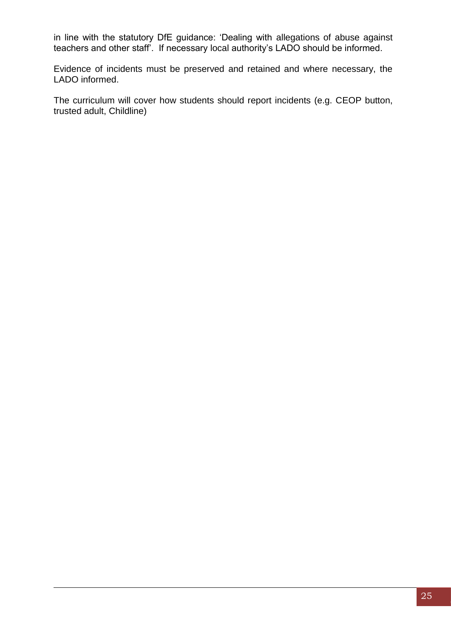in line with the statutory DfE guidance: 'Dealing with allegations of abuse against teachers and other staff'. If necessary local authority's LADO should be informed.

Evidence of incidents must be preserved and retained and where necessary, the LADO informed.

The curriculum will cover how students should report incidents (e.g. CEOP button, trusted adult, Childline)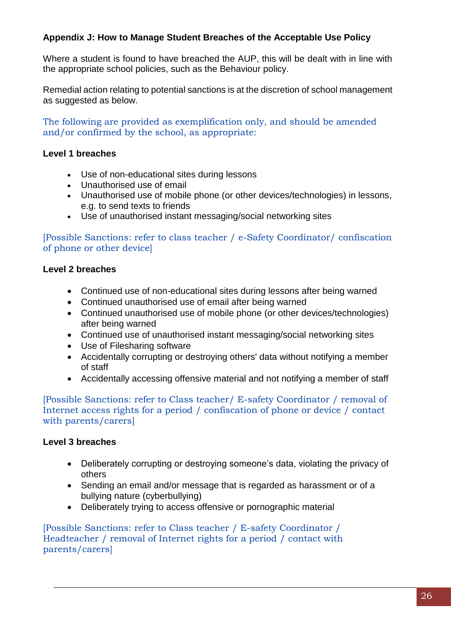# **Appendix J: How to Manage Student Breaches of the Acceptable Use Policy**

Where a student is found to have breached the AUP, this will be dealt with in line with the appropriate school policies, such as the Behaviour policy.

Remedial action relating to potential sanctions is at the discretion of school management as suggested as below.

The following are provided as exemplification only, and should be amended and/or confirmed by the school, as appropriate:

# **Level 1 breaches**

- Use of non-educational sites during lessons
- Unauthorised use of email
- Unauthorised use of mobile phone (or other devices/technologies) in lessons, e.g. to send texts to friends
- Use of unauthorised instant messaging/social networking sites

[Possible Sanctions: refer to class teacher / e-Safety Coordinator/ confiscation of phone or other device]

# **Level 2 breaches**

- Continued use of non-educational sites during lessons after being warned
- Continued unauthorised use of email after being warned
- Continued unauthorised use of mobile phone (or other devices/technologies) after being warned
- Continued use of unauthorised instant messaging/social networking sites
- Use of Filesharing software
- Accidentally corrupting or destroying others' data without notifying a member of staff
- Accidentally accessing offensive material and not notifying a member of staff

[Possible Sanctions: refer to Class teacher/ E-safety Coordinator / removal of Internet access rights for a period / confiscation of phone or device / contact with parents/carers]

# **Level 3 breaches**

- Deliberately corrupting or destroying someone's data, violating the privacy of others
- Sending an email and/or message that is regarded as harassment or of a bullying nature (cyberbullying)
- Deliberately trying to access offensive or pornographic material

[Possible Sanctions: refer to Class teacher / E-safety Coordinator / Headteacher / removal of Internet rights for a period / contact with parents/carers]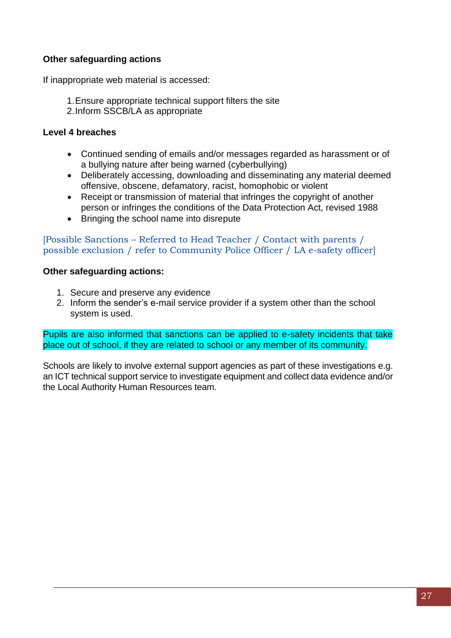# **Other safeguarding actions**

If inappropriate web material is accessed:

- 1.Ensure appropriate technical support filters the site
- 2.Inform SSCB/LA as appropriate

# **Level 4 breaches**

- Continued sending of emails and/or messages regarded as harassment or of a bullying nature after being warned (cyberbullying)
- Deliberately accessing, downloading and disseminating any material deemed offensive, obscene, defamatory, racist, homophobic or violent
- Receipt or transmission of material that infringes the copyright of another person or infringes the conditions of the Data Protection Act, revised 1988
- Bringing the school name into disrepute

[Possible Sanctions – Referred to Head Teacher / Contact with parents / possible exclusion / refer to Community Police Officer / LA e-safety officer]

# **Other safeguarding actions:**

- 1. Secure and preserve any evidence
- 2. Inform the sender's e-mail service provider if a system other than the school system is used.

Pupils are also informed that sanctions can be applied to e-safety incidents that take place out of school, if they are related to school or any member of its community.

Schools are likely to involve external support agencies as part of these investigations e.g. an ICT technical support service to investigate equipment and collect data evidence and/or the Local Authority Human Resources team.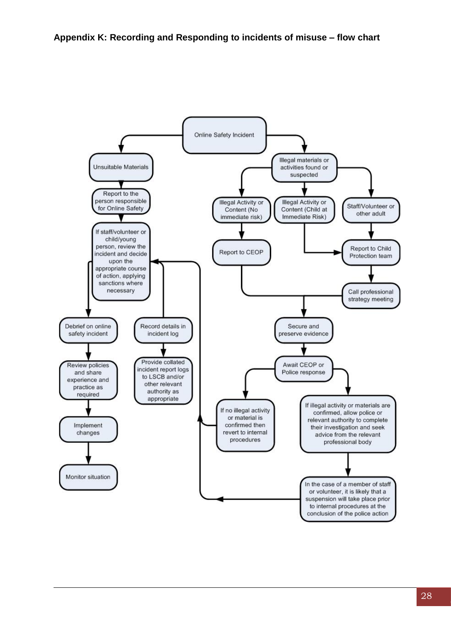